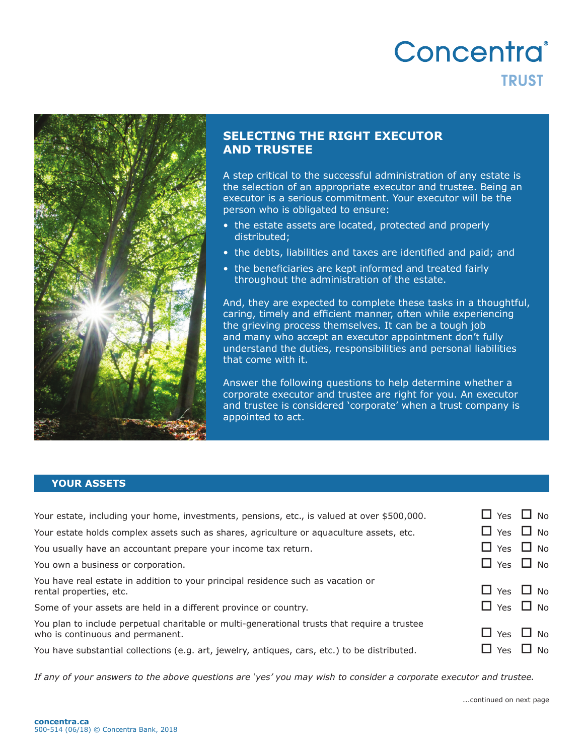# Concentra® **TRUST**



## **SELECTING THE RIGHT EXECUTOR AND TRUSTEE**

A step critical to the successful administration of any estate is the selection of an appropriate executor and trustee. Being an executor is a serious commitment. Your executor will be the person who is obligated to ensure:

- the estate assets are located, protected and properly distributed;
- the debts, liabilities and taxes are identified and paid; and
- the beneficiaries are kept informed and treated fairly throughout the administration of the estate.

And, they are expected to complete these tasks in a thoughtful, caring, timely and efficient manner, often while experiencing the grieving process themselves. It can be a tough job and many who accept an executor appointment don't fully understand the duties, responsibilities and personal liabilities that come with it.

Answer the following questions to help determine whether a corporate executor and trustee are right for you. An executor and trustee is considered 'corporate' when a trust company is appointed to act.

#### **YOUR ASSETS**

| Your estate, including your home, investments, pensions, etc., is valued at over \$500,000.                                      | $\Box$ Yes $\Box$ No |  |
|----------------------------------------------------------------------------------------------------------------------------------|----------------------|--|
| Your estate holds complex assets such as shares, agriculture or aquaculture assets, etc.                                         | $\Box$ Yes $\Box$ No |  |
| You usually have an accountant prepare your income tax return.                                                                   | $\Box$ Yes $\Box$ No |  |
| You own a business or corporation.                                                                                               | $\Box$ Yes $\Box$ No |  |
| You have real estate in addition to your principal residence such as vacation or<br>rental properties, etc.                      | $\Box$ Yes $\Box$ No |  |
| Some of your assets are held in a different province or country.                                                                 | $\Box$ Yes $\Box$ No |  |
| You plan to include perpetual charitable or multi-generational trusts that require a trustee<br>who is continuous and permanent. | $\Box$ Yes $\Box$ No |  |
| You have substantial collections (e.g. art, jewelry, antiques, cars, etc.) to be distributed.                                    | $\Box$ Yes $\Box$ No |  |

*If any of your answers to the above questions are 'yes' you may wish to consider a corporate executor and trustee.*